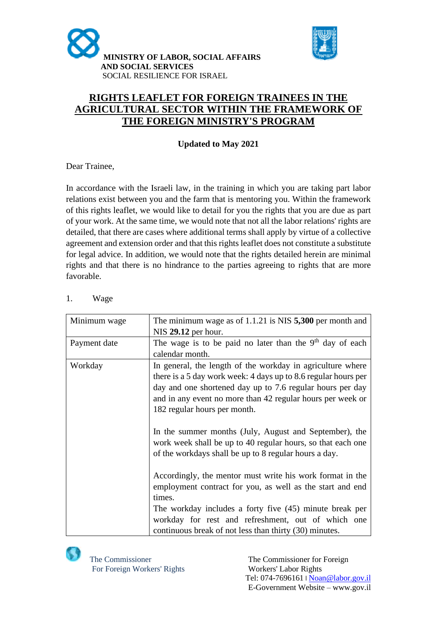



## **RIGHTS LEAFLET FOR FOREIGN TRAINEES IN THE AGRICULTURAL SECTOR WITHIN THE FRAMEWORK OF THE FOREIGN MINISTRY'S PROGRAM**

## **Updated to May 2021**

Dear Trainee,

In accordance with the Israeli law, in the training in which you are taking part labor relations exist between you and the farm that is mentoring you. Within the framework of this rights leaflet, we would like to detail for you the rights that you are due as part of your work. At the same time, we would note that not all the labor relations' rights are detailed, that there are cases where additional terms shall apply by virtue of a collective agreement and extension order and that this rights leaflet does not constitute a substitute for legal advice. In addition, we would note that the rights detailed herein are minimal rights and that there is no hindrance to the parties agreeing to rights that are more favorable.

- Minimum wage The minimum wage as of 1.1.21 is NIS **5,300** per month and NIS **29.12** per hour. Payment date  $\vert$  The wage is to be paid no later than the 9<sup>th</sup> day of each calendar month. Workday  $\vert$  In general, the length of the workday in agriculture where there is a 5 day work week: 4 days up to 8.6 regular hours per day and one shortened day up to 7.6 regular hours per day and in any event no more than 42 regular hours per week or 182 regular hours per month. In the summer months (July, August and September), the work week shall be up to 40 regular hours, so that each one of the workdays shall be up to 8 regular hours a day. Accordingly, the mentor must write his work format in the employment contract for you, as well as the start and end times. The workday includes a forty five (45) minute break per workday for rest and refreshment, out of which one continuous break of not less than thirty (30) minutes.
- 1. Wage

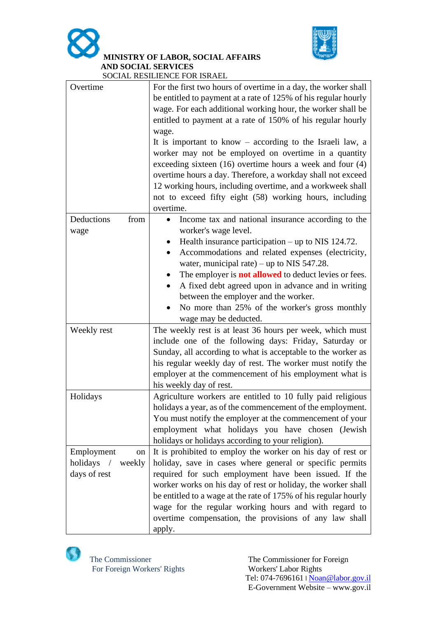



| Overtime               | For the first two hours of overtime in a day, the worker shall  |
|------------------------|-----------------------------------------------------------------|
|                        | be entitled to payment at a rate of 125% of his regular hourly  |
|                        | wage. For each additional working hour, the worker shall be     |
|                        | entitled to payment at a rate of 150% of his regular hourly     |
|                        | wage.                                                           |
|                        | It is important to know $-$ according to the Israeli law, a     |
|                        | worker may not be employed on overtime in a quantity            |
|                        | exceeding sixteen $(16)$ overtime hours a week and four $(4)$   |
|                        | overtime hours a day. Therefore, a workday shall not exceed     |
|                        | 12 working hours, including overtime, and a workweek shall      |
|                        | not to exceed fifty eight (58) working hours, including         |
|                        | overtime.                                                       |
| Deductions<br>from     | Income tax and national insurance according to the              |
| wage                   | worker's wage level.                                            |
|                        | Health insurance participation $-$ up to NIS 124.72.            |
|                        | Accommodations and related expenses (electricity,               |
|                        | water, municipal rate) – up to NIS $547.28$ .                   |
|                        | The employer is <b>not allowed</b> to deduct levies or fees.    |
|                        | A fixed debt agreed upon in advance and in writing              |
|                        | between the employer and the worker.                            |
|                        | No more than 25% of the worker's gross monthly                  |
|                        | wage may be deducted.                                           |
| Weekly rest            | The weekly rest is at least 36 hours per week, which must       |
|                        | include one of the following days: Friday, Saturday or          |
|                        | Sunday, all according to what is acceptable to the worker as    |
|                        | his regular weekly day of rest. The worker must notify the      |
|                        | employer at the commencement of his employment what is          |
|                        | his weekly day of rest.                                         |
| Holidays               | Agriculture workers are entitled to 10 fully paid religious     |
|                        | holidays a year, as of the commencement of the employment.      |
|                        | You must notify the employer at the commencement of your        |
|                        | employment what holidays you have chosen (Jewish                |
|                        | holidays or holidays according to your religion).               |
| Employment<br>on       | It is prohibited to employ the worker on his day of rest or     |
| holidays $/$<br>weekly | holiday, save in cases where general or specific permits        |
| days of rest           | required for such employment have been issued. If the           |
|                        | worker works on his day of rest or holiday, the worker shall    |
|                        | be entitled to a wage at the rate of 175% of his regular hourly |
|                        | wage for the regular working hours and with regard to           |
|                        | overtime compensation, the provisions of any law shall          |
|                        | apply.                                                          |

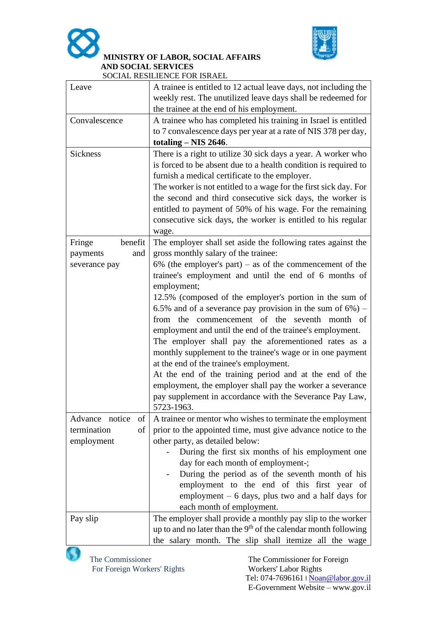



## **MINISTRY OF LABOR, SOCIAL AFFAIRS AND SOCIAL SERVICES**

SOCIAL RESILIENCE FOR ISRAEL

| Leave                | A trainee is entitled to 12 actual leave days, not including the  |
|----------------------|-------------------------------------------------------------------|
|                      | weekly rest. The unutilized leave days shall be redeemed for      |
|                      | the trainee at the end of his employment.                         |
| Convalescence        | A trainee who has completed his training in Israel is entitled    |
|                      | to 7 convalescence days per year at a rate of NIS 378 per day,    |
|                      | totaling $-$ NIS 2646.                                            |
| <b>Sickness</b>      | There is a right to utilize 30 sick days a year. A worker who     |
|                      | is forced to be absent due to a health condition is required to   |
|                      | furnish a medical certificate to the employer.                    |
|                      | The worker is not entitled to a wage for the first sick day. For  |
|                      | the second and third consecutive sick days, the worker is         |
|                      | entitled to payment of 50% of his wage. For the remaining         |
|                      | consecutive sick days, the worker is entitled to his regular      |
|                      | wage.                                                             |
| benefit<br>Fringe    | The employer shall set aside the following rates against the      |
| and<br>payments      | gross monthly salary of the trainee:                              |
| severance pay        | $6\%$ (the employer's part) – as of the commencement of the       |
|                      | trainee's employment and until the end of 6 months of             |
|                      | employment;                                                       |
|                      | 12.5% (composed of the employer's portion in the sum of           |
|                      | 6.5% and of a severance pay provision in the sum of $6\%$ ) –     |
|                      | from the commencement of the seventh month of                     |
|                      | employment and until the end of the trainee's employment.         |
|                      | The employer shall pay the aforementioned rates as a              |
|                      | monthly supplement to the trainee's wage or in one payment        |
|                      | at the end of the trainee's employment.                           |
|                      | At the end of the training period and at the end of the           |
|                      | employment, the employer shall pay the worker a severance         |
|                      | pay supplement in accordance with the Severance Pay Law,          |
|                      | 5723-1963.                                                        |
| Advance notice<br>of | A trainee or mentor who wishes to terminate the employment        |
| of<br>termination    | prior to the appointed time, must give advance notice to the      |
| employment           | other party, as detailed below:                                   |
|                      | During the first six months of his employment one                 |
|                      | day for each month of employment-;                                |
|                      | During the period as of the seventh month of his                  |
|                      | employment to the end of this first year of                       |
|                      | employment $-6$ days, plus two and a half days for                |
|                      | each month of employment.                                         |
| Pay slip             | The employer shall provide a monthly pay slip to the worker       |
|                      | up to and no later than the $9th$ of the calendar month following |
|                      | the salary month. The slip shall itemize all the wage             |
|                      |                                                                   |



The Commissioner The Commissioner The Commissioner Foreign<br>For Foreign Workers' Rights Workers' Labor Rights Tel: 074-7696161 | [Noan@labor.gov.il](mailto:Noan@labor.gov.il) E-Government Website – www.gov.il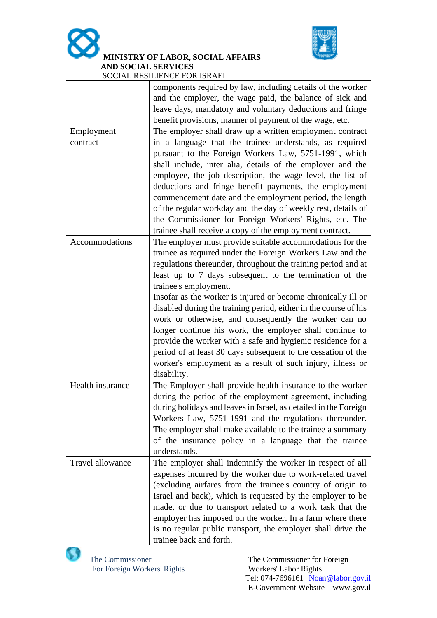



## **MINISTRY OF LABOR, SOCIAL AFFAIRS AND SOCIAL SERVICES**

SOCIAL RESILIENCE FOR ISRAEL

|                  | components required by law, including details of the worker      |
|------------------|------------------------------------------------------------------|
|                  | and the employer, the wage paid, the balance of sick and         |
|                  | leave days, mandatory and voluntary deductions and fringe        |
|                  | benefit provisions, manner of payment of the wage, etc.          |
| Employment       | The employer shall draw up a written employment contract         |
| contract         | in a language that the trainee understands, as required          |
|                  | pursuant to the Foreign Workers Law, 5751-1991, which            |
|                  | shall include, inter alia, details of the employer and the       |
|                  | employee, the job description, the wage level, the list of       |
|                  | deductions and fringe benefit payments, the employment           |
|                  | commencement date and the employment period, the length          |
|                  | of the regular workday and the day of weekly rest, details of    |
|                  | the Commissioner for Foreign Workers' Rights, etc. The           |
|                  | trainee shall receive a copy of the employment contract.         |
| Accommodations   | The employer must provide suitable accommodations for the        |
|                  | trainee as required under the Foreign Workers Law and the        |
|                  | regulations thereunder, throughout the training period and at    |
|                  | least up to 7 days subsequent to the termination of the          |
|                  | trainee's employment.                                            |
|                  | Insofar as the worker is injured or become chronically ill or    |
|                  |                                                                  |
|                  | disabled during the training period, either in the course of his |
|                  | work or otherwise, and consequently the worker can no            |
|                  | longer continue his work, the employer shall continue to         |
|                  | provide the worker with a safe and hygienic residence for a      |
|                  | period of at least 30 days subsequent to the cessation of the    |
|                  | worker's employment as a result of such injury, illness or       |
|                  | disability.                                                      |
| Health insurance | The Employer shall provide health insurance to the worker        |
|                  | during the period of the employment agreement, including         |
|                  | during holidays and leaves in Israel, as detailed in the Foreign |
|                  | Workers Law, 5751-1991 and the regulations thereunder.           |
|                  | The employer shall make available to the trainee a summary       |
|                  | of the insurance policy in a language that the trainee           |
|                  | understands.                                                     |
| Travel allowance | The employer shall indemnify the worker in respect of all        |
|                  | expenses incurred by the worker due to work-related travel       |
|                  | (excluding airfares from the trainee's country of origin to      |
|                  | Israel and back), which is requested by the employer to be       |
|                  | made, or due to transport related to a work task that the        |
|                  | employer has imposed on the worker. In a farm where there        |
|                  | is no regular public transport, the employer shall drive the     |
|                  | trainee back and forth.                                          |

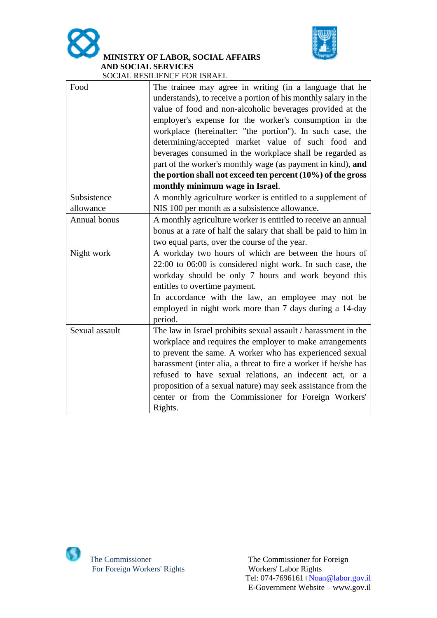



| Food           | The trainee may agree in writing (in a language that he<br>understands), to receive a portion of his monthly salary in the<br>value of food and non-alcoholic beverages provided at the<br>employer's expense for the worker's consumption in the<br>workplace (hereinafter: "the portion"). In such case, the<br>determining/accepted market value of such food and<br>beverages consumed in the workplace shall be regarded as<br>part of the worker's monthly wage (as payment in kind), and<br>the portion shall not exceed ten percent (10%) of the gross<br>monthly minimum wage in Israel. |
|----------------|---------------------------------------------------------------------------------------------------------------------------------------------------------------------------------------------------------------------------------------------------------------------------------------------------------------------------------------------------------------------------------------------------------------------------------------------------------------------------------------------------------------------------------------------------------------------------------------------------|
| Subsistence    | A monthly agriculture worker is entitled to a supplement of                                                                                                                                                                                                                                                                                                                                                                                                                                                                                                                                       |
| allowance      | NIS 100 per month as a subsistence allowance.                                                                                                                                                                                                                                                                                                                                                                                                                                                                                                                                                     |
| Annual bonus   | A monthly agriculture worker is entitled to receive an annual                                                                                                                                                                                                                                                                                                                                                                                                                                                                                                                                     |
|                | bonus at a rate of half the salary that shall be paid to him in<br>two equal parts, over the course of the year.                                                                                                                                                                                                                                                                                                                                                                                                                                                                                  |
| Night work     | A workday two hours of which are between the hours of<br>22:00 to 06:00 is considered night work. In such case, the<br>workday should be only 7 hours and work beyond this<br>entitles to overtime payment.<br>In accordance with the law, an employee may not be<br>employed in night work more than 7 days during a 14-day<br>period.                                                                                                                                                                                                                                                           |
| Sexual assault | The law in Israel prohibits sexual assault / harassment in the<br>workplace and requires the employer to make arrangements<br>to prevent the same. A worker who has experienced sexual<br>harassment (inter alia, a threat to fire a worker if he/she has<br>refused to have sexual relations, an indecent act, or a<br>proposition of a sexual nature) may seek assistance from the<br>center or from the Commissioner for Foreign Workers'<br>Rights.                                                                                                                                           |